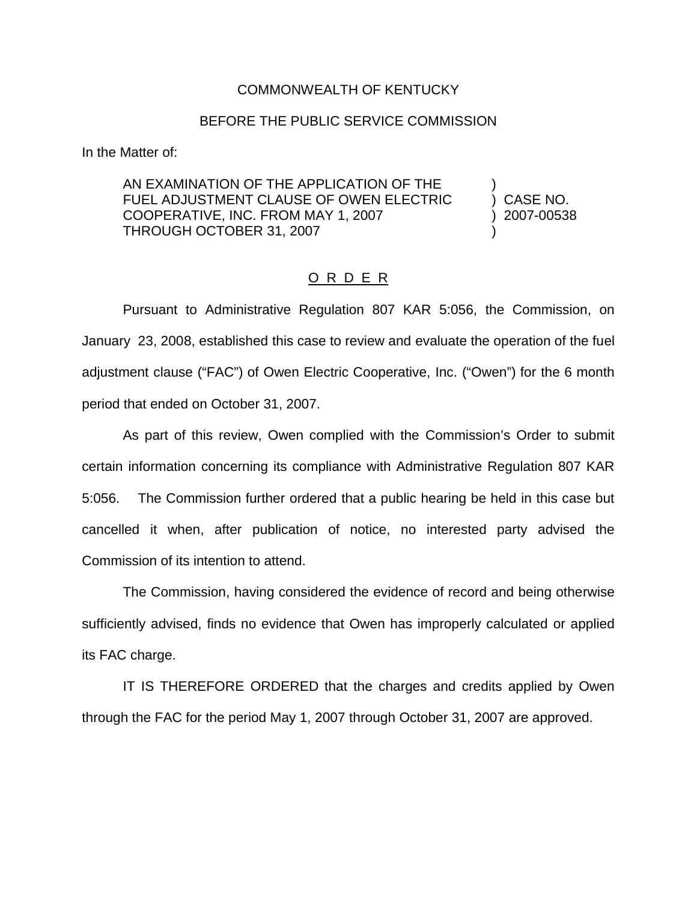## COMMONWEALTH OF KENTUCKY

## BEFORE THE PUBLIC SERVICE COMMISSION

In the Matter of:

AN EXAMINATION OF THE APPLICATION OF THE FUEL ADJUSTMENT CLAUSE OF OWEN ELECTRIC ) CASE NO. COOPERATIVE, INC. FROM MAY 1, 2007 ) 2007-00538 THROUGH OCTOBER 31, 2007

## O R D E R

Pursuant to Administrative Regulation 807 KAR 5:056, the Commission, on January 23, 2008, established this case to review and evaluate the operation of the fuel adjustment clause ("FAC") of Owen Electric Cooperative, Inc. ("Owen") for the 6 month period that ended on October 31, 2007.

As part of this review, Owen complied with the Commission's Order to submit certain information concerning its compliance with Administrative Regulation 807 KAR 5:056. The Commission further ordered that a public hearing be held in this case but cancelled it when, after publication of notice, no interested party advised the Commission of its intention to attend.

The Commission, having considered the evidence of record and being otherwise sufficiently advised, finds no evidence that Owen has improperly calculated or applied its FAC charge.

IT IS THEREFORE ORDERED that the charges and credits applied by Owen through the FAC for the period May 1, 2007 through October 31, 2007 are approved.